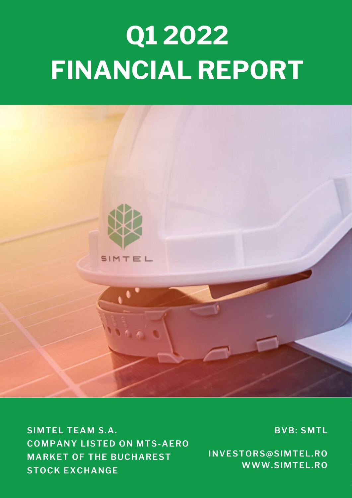# Q1 2022 FINANCIAL REPORT



**SIMTEL TEAM S.A. COMPANY LISTED ON MTS-AERO MARKET OF THE BUCHAREST STOCK EXCHANGE** 

**BVB: SMTL** 

INVESTORS@SIMTEL.RO WWW.SIMTEL.RO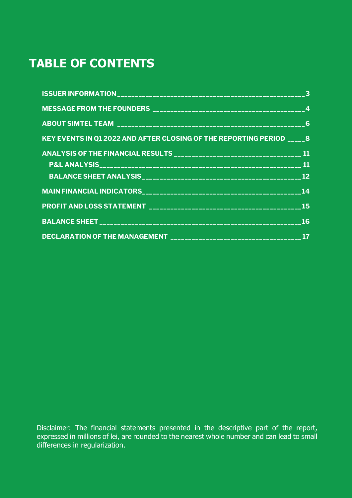# **TABLE OF CONTENTS**

| KEY EVENTS IN Q1 2022 AND AFTER CLOSING OF THE REPORTING PERIOD _____ 8 |  |
|-------------------------------------------------------------------------|--|
|                                                                         |  |
|                                                                         |  |
|                                                                         |  |
|                                                                         |  |
|                                                                         |  |
|                                                                         |  |
|                                                                         |  |

Disclaimer: The financial statements presented in the descriptive part of the report, expressed in millions of lei, are rounded to the nearest whole number and can lead to small differences in regularization.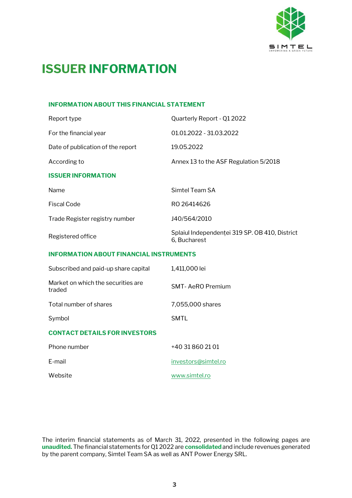

# <span id="page-2-0"></span>**ISSUER INFORMATION**

#### **INFORMATION ABOUT THIS FINANCIAL STATEMENT**

| Report type                                    | Quarterly Report - Q1 2022                                     |
|------------------------------------------------|----------------------------------------------------------------|
| For the financial year                         | 01.01.2022 - 31.03.2022                                        |
| Date of publication of the report              | 19.05.2022                                                     |
| According to                                   | Annex 13 to the ASF Regulation 5/2018                          |
| <b>ISSUER INFORMATION</b>                      |                                                                |
| Name                                           | Simtel Team SA                                                 |
| <b>Fiscal Code</b>                             | RO 26414626                                                    |
| Trade Register registry number                 | J40/564/2010                                                   |
| Registered office                              | Splaiul Independentei 319 SP. OB 410, District<br>6, Bucharest |
| <b>INFORMATION ABOUT FINANCIAL INSTRUMENTS</b> |                                                                |
| Subscribed and paid-up share capital           | 1,411,000 lei                                                  |
| Market on which the securities are<br>traded   | <b>SMT-AeRO Premium</b>                                        |

Total number of shares 7,055,000 shares

Symbol SMTL

#### **CONTACT DETAILS FOR INVESTORS**

| Phone number | +40 31 860 21 01    |
|--------------|---------------------|
| E-mail       | investors@simtel.ro |
| Website      | www.simtel.ro       |

The interim financial statements as of March 31, 2022, presented in the following pages are **unaudited.** The financial statements for Q1 2022 are **consolidated**and include revenues generated by the parent company, Simtel Team SA as well as ANT Power Energy SRL.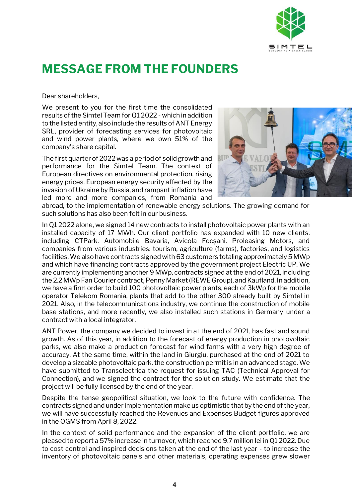

### <span id="page-3-0"></span>**MESSAGE FROM THE FOUNDERS**

Dear shareholders,

We present to you for the first time the consolidated results of the Simtel Team for Q1 2022 - which in addition to the listed entity, also include the results of ANT Energy SRL, provider of forecasting services for photovoltaic and wind power plants, where we own 51% of the company's share capital.

The first quarter of 2022 was a period of solid growth and performance for the Simtel Team. The context of European directives on environmental protection, rising energy prices, European energy security affected by the invasion of Ukraine by Russia, and rampant inflation have led more and more companies, from Romania and



abroad, to the implementation of renewable energy solutions. The growing demand for such solutions has also been felt in our business.

In Q1 2022 alone, we signed 14 new contracts to install photovoltaic power plants with an installed capacity of 17 MWh. Our client portfolio has expanded with 10 new clients, including CTPark, Automobile Bavaria, Avicola Focșani, Proleasing Motors, and companies from various industries: tourism, agriculture (farms), factories, and logistics facilities. We also have contracts signed with 63 customers totaling approximately 5 MWp and which have financing contracts approved by the government project Electric UP. We are currently implementing another 9 MWp, contracts signed at the end of 2021, including the 2.2 MWp Fan Courier contract, Penny Market (REWE Group), and Kaufland. In addition, we have a firm order to build 100 photovoltaic power plants, each of 3kWp for the mobile operator Telekom Romania, plants that add to the other 300 already built by Simtel in 2021. Also, in the telecommunications industry, we continue the construction of mobile base stations, and more recently, we also installed such stations in Germany under a contract with a local integrator.

ANT Power, the company we decided to invest in at the end of 2021, has fast and sound growth. As of this year, in addition to the forecast of energy production in photovoltaic parks, we also make a production forecast for wind farms with a very high degree of accuracy. At the same time, within the land in Giurgiu, purchased at the end of 2021 to develop a sizeable photovoltaic park, the construction permit is in an advanced stage. We have submitted to Transelectrica the request for issuing TAC (Technical Approval for Connection), and we signed the contract for the solution study. We estimate that the project will be fully licensed by the end of the year.

Despite the tense geopolitical situation, we look to the future with confidence. The contracts signed and under implementation make us optimistic that by the end of the year, we will have successfully reached the Revenues and Expenses Budget figures approved in the OGMS from April 8, 2022.

In the context of solid performance and the expansion of the client portfolio, we are pleased to report a 57% increase in turnover, which reached 9.7 million lei in Q1 2022. Due to cost control and inspired decisions taken at the end of the last year - to increase the inventory of photovoltaic panels and other materials, operating expenses grew slower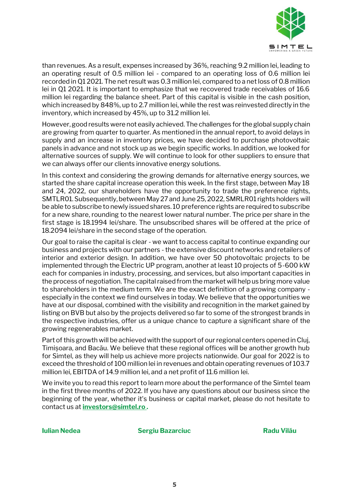

than revenues. As a result, expenses increased by 36%, reaching 9.2 million lei, leading to an operating result of 0.5 million lei - compared to an operating loss of 0.6 million lei recorded in Q1 2021. The net result was 0.3 million lei, compared to a net loss of 0.8 million lei in Q1 2021. It is important to emphasize that we recovered trade receivables of 16.6 million lei regarding the balance sheet. Part of this capital is visible in the cash position, which increased by 848%, up to 2.7 million lei, while the rest was reinvested directly in the inventory, which increased by 45%, up to 31.2 million lei.

However, good results were not easily achieved. The challenges for the global supply chain are growing from quarter to quarter. As mentioned in the annual report, to avoid delays in supply and an increase in inventory prices, we have decided to purchase photovoltaic panels in advance and not stock up as we begin specific works. In addition, we looked for alternative sources of supply. We will continue to look for other suppliers to ensure that we can always offer our clients innovative energy solutions.

In this context and considering the growing demands for alternative energy sources, we started the share capital increase operation this week. In the first stage, between May 18 and 24, 2022, our shareholders have the opportunity to trade the preference rights, SMTLR01. Subsequently, between May 27 and June 25, 2022, SMRLR01 rights holders will be able to subscribe to newly issued shares. 10 preference rights are required to subscribe for a new share, rounding to the nearest lower natural number. The price per share in the first stage is 18.1994 lei/share. The unsubscribed shares will be offered at the price of 18.2094 lei/share in the second stage of the operation.

Our goal to raise the capital is clear - we want to access capital to continue expanding our business and projects with our partners - the extensive discount networks and retailers of interior and exterior design. In addition, we have over 50 photovoltaic projects to be implemented through the Electric UP program, another at least 10 projects of 5-600 kW each for companies in industry, processing, and services, but also important capacities in the process of negotiation. The capital raised from the market will help us bring more value to shareholders in the medium term. We are the exact definition of a growing company especially in the context we find ourselves in today. We believe that the opportunities we have at our disposal, combined with the visibility and recognition in the market gained by listing on BVB but also by the projects delivered so far to some of the strongest brands in the respective industries, offer us a unique chance to capture a significant share of the growing regenerables market.

Part of this growth will be achieved with the support of our regional centers opened in Cluj, Timișoara, and Bacău. We believe that these regional offices will be another growth hub for Simtel, as they will help us achieve more projects nationwide. Our goal for 2022 is to exceed the threshold of 100 million lei in revenues and obtain operating revenues of 103.7 million lei, EBITDA of 14.9 million lei, and a net profit of 11.6 million lei.

We invite you to read this report to learn more about the performance of the Simtel team in the first three months of 2022. If you have any questions about our business since the beginning of the year, whether it's business or capital market, please do not hesitate to contact us at **[investors@simtel.ro .](mailto:investors@simtel.ro)**

**Iulian Nedea Sergiu Bazarciuc Radu Vilău**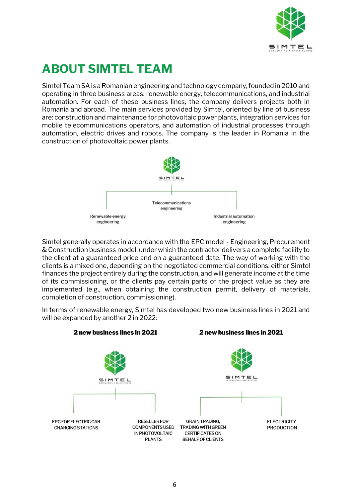

# <span id="page-5-0"></span>**ABOUT SIMTEL TEAM**

Simtel Team SA is a Romanian engineering and technology company, founded in 2010 and operating in three business areas: renewable energy, telecommunications, and industrial automation. For each of these business lines, the company delivers projects both in Romania and abroad. The main services provided by Simtel, oriented by line of business are: construction and maintenance for photovoltaic power plants, integration services for mobile telecommunications operators, and automation of industrial processes through automation, electric drives and robots. The company is the leader in Romania in the construction of photovoltaic power plants.



Simtel generally operates in accordance with the EPC model - Engineering, Procurement & Construction business model, under which the contractor delivers a complete facility to the client at a guaranteed price and on a guaranteed date. The way of working with the clients is a mixed one, depending on the negotiated commercial conditions: either Simtel finances the project entirely during the construction, and will generate income at the time of its commissioning, or the clients pay certain parts of the project value as they are implemented (e.g., when obtaining the construction permit, delivery of materials, completion of construction, commissioning).

In terms of renewable energy, Simtel has developed two new business lines in 2021 and will be expanded by another 2 in 2022:

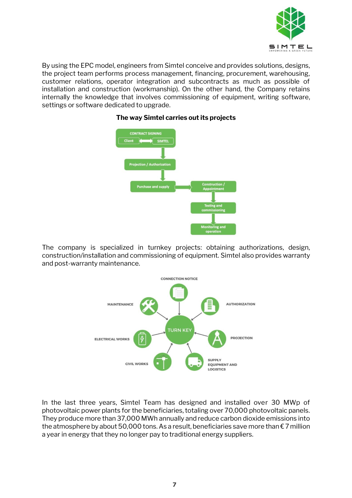

By using the EPC model, engineers from Simtel conceive and provides solutions, designs, the project team performs process management, financing, procurement, warehousing, customer relations, operator integration and subcontracts as much as possible of installation and construction (workmanship). On the other hand, the Company retains internally the knowledge that involves commissioning of equipment, writing software, settings or software dedicated to upgrade.



#### **The way Simtel carries out its projects**

The company is specialized in turnkey projects: obtaining authorizations, design, construction/installation and commissioning of equipment. Simtel also provides warranty and post-warranty maintenance.



In the last three years, Simtel Team has designed and installed over 30 MWp of photovoltaic power plants for the beneficiaries, totaling over 70,000 photovoltaic panels. They produce more than 37,000 MWh annually and reduce carbon dioxide emissions into the atmosphere by about 50,000 tons. As a result, beneficiaries save more than  $\epsilon$  7 million a year in energy that they no longer pay to traditional energy suppliers.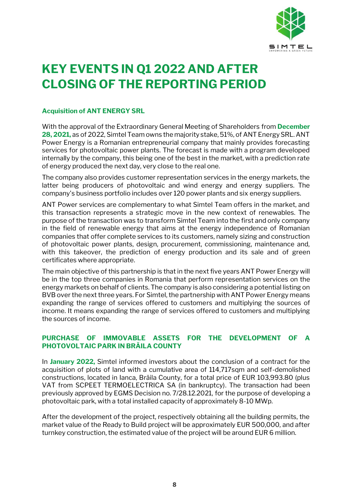

# <span id="page-7-0"></span>**KEY EVENTS IN Q1 2022 AND AFTER CLOSING OF THE REPORTING PERIOD**

#### **Acquisition of ANT ENERGY SRL**

With the approval of the Extraordinary General Meeting of Shareholders from **December 28, 2021,** as of 2022, Simtel Team owns the majority stake, 51%, of ANT Energy SRL. ANT Power Energy is a Romanian entrepreneurial company that mainly provides forecasting services for photovoltaic power plants. The forecast is made with a program developed internally by the company, this being one of the best in the market, with a prediction rate of energy produced the next day, very close to the real one.

The company also provides customer representation services in the energy markets, the latter being producers of photovoltaic and wind energy and energy suppliers. The company's business portfolio includes over 120 power plants and six energy suppliers.

ANT Power services are complementary to what Simtel Team offers in the market, and this transaction represents a strategic move in the new context of renewables. The purpose of the transaction was to transform Simtel Team into the first and only company in the field of renewable energy that aims at the energy independence of Romanian companies that offer complete services to its customers, namely sizing and construction of photovoltaic power plants, design, procurement, commissioning, maintenance and, with this takeover, the prediction of energy production and its sale and of green certificates where appropriate.

The main objective of this partnership is that in the next five years ANT Power Energy will be in the top three companies in Romania that perform representation services on the energy markets on behalf of clients. The company is also considering a potential listing on BVB over the next three years. For Simtel, the partnership with ANT Power Energy means expanding the range of services offered to customers and multiplying the sources of income. It means expanding the range of services offered to customers and multiplying the sources of income.

#### **PURCHASE OF IMMOVABLE ASSETS FOR THE DEVELOPMENT OF A PHOTOVOLTAIC PARK IN BRĂILA COUNTY**

In **January 2022,** Simtel informed investors about the conclusion of a contract for the acquisition of plots of land with a cumulative area of 114,717sqm and self-demolished constructions, located in Ianca, Brăila County, for a total price of EUR 103,993.80 (plus VAT from SCPEET TERMOELECTRICA SA (in bankruptcy). The transaction had been previously approved by EGMS Decision no. 7/28.12.2021, for the purpose of developing a photovoltaic park, with a total installed capacity of approximately 8-10 MWp.

After the development of the project, respectively obtaining all the building permits, the market value of the Ready to Build project will be approximately EUR 500,000, and after turnkey construction, the estimated value of the project will be around EUR 6 million.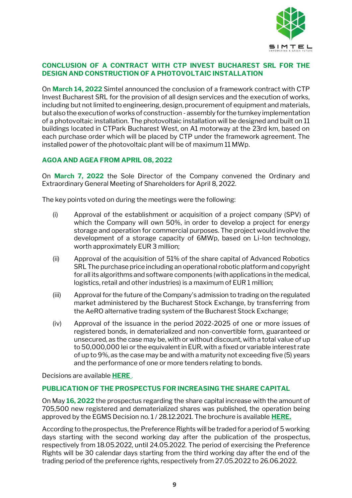

#### **CONCLUSION OF A CONTRACT WITH CTP INVEST BUCHAREST SRL FOR THE DESIGN AND CONSTRUCTION OF A PHOTOVOLTAIC INSTALLATION**

On **March 14, 2022** Simtel announced the conclusion of a framework contract with CTP Invest Bucharest SRL for the provision of all design services and the execution of works, including but not limited to engineering, design, procurement of equipment and materials, but also the execution of works of construction - assembly for the turnkey implementation of a photovoltaic installation. The photovoltaic installation will be designed and built on 11 buildings located in CTPark Bucharest West, on A1 motorway at the 23rd km, based on each purchase order which will be placed by CTP under the framework agreement. The installed power of the photovoltaic plant will be of maximum 11 MWp.

#### **AGOA AND AGEA FROM APRIL 08, 2022**

On **March 7, 2022** the Sole Director of the Company convened the Ordinary and Extraordinary General Meeting of Shareholders for April 8, 2022.

The key points voted on during the meetings were the following:

- (i) Approval of the establishment or acquisition of a project company (SPV) of which the Company will own 50%, in order to develop a project for energy storage and operation for commercial purposes. The project would involve the development of a storage capacity of 6MWp, based on Li-Ion technology, worth approximately EUR 3 million;
- (ii) Approval of the acquisition of 51% of the share capital of Advanced Robotics SRL The purchase price including an operational robotic platform and copyright for all its algorithms and software components (with applications in the medical, logistics, retail and other industries) is a maximum of EUR 1 million;
- (iii) Approval for the future of the Company's admission to trading on the regulated market administered by the Bucharest Stock Exchange, by transferring from the AeRO alternative trading system of the Bucharest Stock Exchange;
- (iv) Approval of the issuance in the period 2022-2025 of one or more issues of registered bonds, in dematerialized and non-convertible form, guaranteed or unsecured, as the case may be, with or without discount, with a total value of up to 50,000,000 lei or the equivalent in EUR, with a fixed or variable interest rate of up to 9%, as the case may be and with a maturity not exceeding five (5) years and the performance of one or more tenders relating to bonds.

Decisions are available **[HERE](https://bvb.ro/info/Raportari/SMTL/SMTL_20220408170633_SMTL-Current-Report-7-EN.pdf)** .

#### **PUBLICATION OF THE PROSPECTUS FOR INCREASING THE SHARE CAPITAL**

On May **16, 2022** the prospectus regarding the share capital increase with the amount of 705,500 new registered and dematerialized shares was published, the operation being approved by the EGMS Decision no. 1 / 28.12.2021. The brochure is available **[HERE.](https://bvb.ro/info/Raportari/SMTL/SMTL_20220516091838_SMTL-Current-Report-11-EN.pdf)**

According to the prospectus, the Preference Rights will be traded for a period of 5 working days starting with the second working day after the publication of the prospectus, respectively from 18.05.2022, until 24.05.2022. The period of exercising the Preference Rights will be 30 calendar days starting from the third working day after the end of the trading period of the preference rights, respectively from 27.05.2022 to 26.06.2022.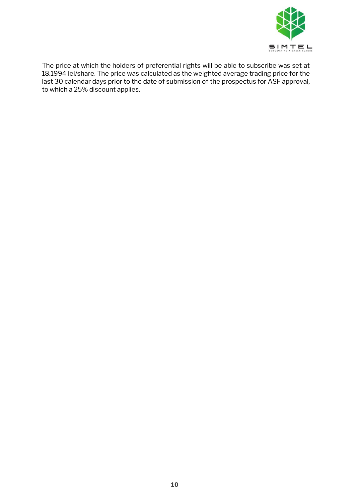

The price at which the holders of preferential rights will be able to subscribe was set at 18.1994 lei/share. The price was calculated as the weighted average trading price for the last 30 calendar days prior to the date of submission of the prospectus for ASF approval, to which a 25% discount applies.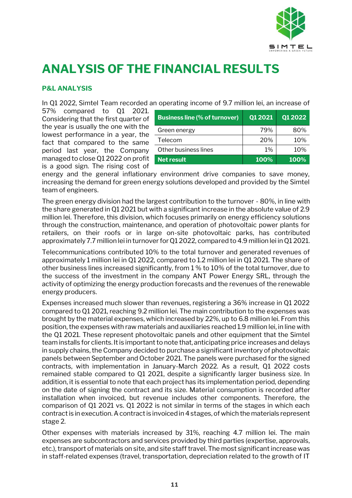

# <span id="page-10-0"></span>**ANALYSIS OF THE FINANCIAL RESULTS**

#### <span id="page-10-1"></span>**P&L ANALYSIS**

In Q1 2022, Simtel Team recorded an operating income of 9.7 million lei, an increase of

57% compared to Q1 2021. Considering that the first quarter of the year is usually the one with the lowest performance in a year, the fact that compared to the same period last year, the Company managed to close Q1 2022 on profit is a good sign. The rising cost of

| <b>Business line (% of turnover)</b> | Q1 2021 | Q1 2022 |
|--------------------------------------|---------|---------|
| Green energy                         | 79%     | 80%     |
| Telecom                              | 20%     | 10%     |
| Other business lines                 | $1\%$   | 10%     |
| <b>Net result</b>                    | 100%    | 100%    |

energy and the general inflationary environment drive companies to save money, increasing the demand for green energy solutions developed and provided by the Simtel team of engineers.

The green energy division had the largest contribution to the turnover - 80%, in line with the share generated in Q1 2021 but with a significant increase in the absolute value of 2.9 million lei. Therefore, this division, which focuses primarily on energy efficiency solutions through the construction, maintenance, and operation of photovoltaic power plants for retailers, on their roofs or in large on-site photovoltaic parks, has contributed approximately 7.7 million lei in turnover for Q1 2022, compared to 4.9 million lei in Q1 2021.

Telecommunications contributed 10% to the total turnover and generated revenues of approximately 1 million lei in Q1 2022, compared to 1.2 million lei in Q1 2021. The share of other business lines increased significantly, from 1 % to 10% of the total turnover, due to the success of the investment in the company ANT Power Energy SRL, through the activity of optimizing the energy production forecasts and the revenues of the renewable energy producers.

Expenses increased much slower than revenues, registering a 36% increase in Q1 2022 compared to Q1 2021, reaching 9.2 million lei. The main contribution to the expenses was brought by the material expenses, which increased by 22%, up to 6.8 million lei. From this position, the expenses with raw materials and auxiliaries reached 1.9 million lei, in line with the Q1 2021. These represent photovoltaic panels and other equipment that the Simtel team installs for clients. It is important to note that, anticipating price increases and delays in supply chains, the Company decided to purchase a significant inventory of photovoltaic panels between September and October 2021. The panels were purchased for the signed contracts, with implementation in January-March 2022. As a result, Q1 2022 costs remained stable compared to Q1 2021, despite a significantly larger business size. In addition, it is essential to note that each project has its implementation period, depending on the date of signing the contract and its size. Material consumption is recorded after installation when invoiced, but revenue includes other components. Therefore, the comparison of Q1 2021 vs. Q1 2022 is not similar in terms of the stages in which each contract is in execution. A contract is invoiced in 4 stages, of which the materials represent stage 2.

Other expenses with materials increased by 31%, reaching 4.7 million lei. The main expenses are subcontractors and services provided by third parties (expertise, approvals, etc.), transport of materials on site, and site staff travel. The most significant increase was in staff-related expenses (travel, transportation, depreciation related to the growth of IT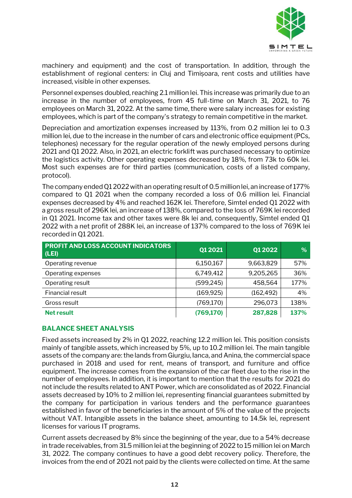

machinery and equipment) and the cost of transportation. In addition, through the establishment of regional centers: in Cluj and Timișoara, rent costs and utilities have increased, visible in other expenses.

Personnel expenses doubled, reaching 2.1 million lei. This increase was primarily due to an increase in the number of employees, from 45 full-time on March 31, 2021, to 76 employees on March 31, 2022. At the same time, there were salary increases for existing employees, which is part of the company's strategy to remain competitive in the market.

Depreciation and amortization expenses increased by 113%, from 0.2 million lei to 0.3 million lei, due to the increase in the number of cars and electronic office equipment (PCs, telephones) necessary for the regular operation of the newly employed persons during 2021 and Q1 2022. Also, in 2021, an electric forklift was purchased necessary to optimize the logistics activity. Other operating expenses decreased by 18%, from 73k to 60k lei. Most such expenses are for third parties (communication, costs of a listed company, protocol).

The company ended Q1 2022 with an operating result of 0.5 million lei, an increase of 177% compared to Q1 2021 when the company recorded a loss of 0.6 million lei. Financial expenses decreased by 4% and reached 162K lei. Therefore, Simtel ended Q1 2022 with a gross result of 296K lei, an increase of 138%, compared to the loss of 769K lei recorded in Q1 2021. Income tax and other taxes were 8k lei and, consequently, Simtel ended Q1 2022 with a net profit of 288K lei, an increase of 137% compared to the loss of 769K lei recorded in Q1 2021.

| <b>PROFIT AND LOSS ACCOUNT INDICATORS</b><br>(LEI) | Q1 2021    | Q1 2022    | %    |
|----------------------------------------------------|------------|------------|------|
| Operating revenue                                  | 6,150,167  | 9,663,829  | 57%  |
| Operating expenses                                 | 6,749,412  | 9,205,265  | 36%  |
| Operating result                                   | (599, 245) | 458,564    | 177% |
| Financial result                                   | (169, 925) | (162, 492) | 4%   |
| Gross result                                       | (769, 170) | 296,073    | 138% |
| <b>Net result</b>                                  | (769, 170) | 287,828    | 137% |

#### <span id="page-11-0"></span>**BALANCE SHEET ANALYSIS**

Fixed assets increased by 2% in Q1 2022, reaching 12.2 million lei. This position consists mainly of tangible assets, which increased by 5%, up to 10.2 million lei. The main tangible assets of the company are: the lands from Giurgiu, Ianca, and Anina, the commercial space purchased in 2018 and used for rent, means of transport, and furniture and office equipment. The increase comes from the expansion of the car fleet due to the rise in the number of employees. In addition, it is important to mention that the results for 2021 do not include the results related to ANT Power, which are consolidated as of 2022. Financial assets decreased by 10% to 2 million lei, representing financial guarantees submitted by the company for participation in various tenders and the performance guarantees established in favor of the beneficiaries in the amount of 5% of the value of the projects without VAT. Intangible assets in the balance sheet, amounting to 14.5k lei, represent licenses for various IT programs.

Current assets decreased by 8% since the beginning of the year, due to a 54% decrease in trade receivables, from 31.5 million lei at the beginning of 2022 to 15 million lei on March 31, 2022. The company continues to have a good debt recovery policy. Therefore, the invoices from the end of 2021 not paid by the clients were collected on time. At the same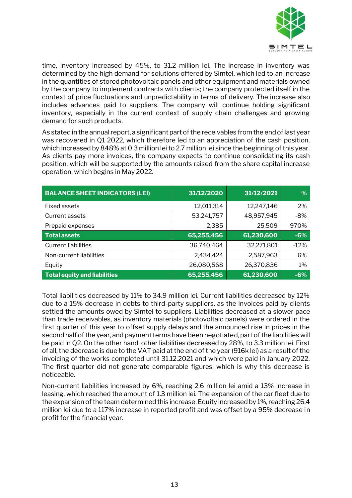

time, inventory increased by 45%, to 31.2 million lei. The increase in inventory was determined by the high demand for solutions offered by Simtel, which led to an increase in the quantities of stored photovoltaic panels and other equipment and materials owned by the company to implement contracts with clients; the company protected itself in the context of price fluctuations and unpredictability in terms of delivery. The increase also includes advances paid to suppliers. The company will continue holding significant inventory, especially in the current context of supply chain challenges and growing demand for such products.

As stated in the annual report, a significant part of the receivables from the end of last year was recovered in Q1 2022, which therefore led to an appreciation of the cash position, which increased by 848% at 0.3 million lei to 2.7 million lei since the beginning of this year. As clients pay more invoices, the company expects to continue consolidating its cash position, which will be supported by the amounts raised from the share capital increase operation, which begins in May 2022.

| <b>BALANCE SHEET INDICATORS (LEI)</b> | 31/12/2020 | 31/12/2021 | %      |
|---------------------------------------|------------|------------|--------|
| <b>Fixed assets</b>                   | 12,011,314 | 12,247,146 | 2%     |
| Current assets                        | 53,241,757 | 48,957,945 | $-8%$  |
| Prepaid expenses                      | 2,385      | 25,509     | 970%   |
| <b>Total assets</b>                   | 65,255,456 | 61,230,600 | $-6%$  |
| <b>Current liabilities</b>            | 36,740,464 | 32,271,801 | $-12%$ |
| Non-current liabilities               | 2,434,424  | 2,587,963  | 6%     |
| Equity                                | 26,080,568 | 26,370,836 | 1%     |
| <b>Total equity and liabilities</b>   | 65,255,456 | 61,230,600 | $-6%$  |

Total liabilities decreased by 11% to 34.9 million lei. Current liabilities decreased by 12% due to a 15% decrease in debts to third-party suppliers, as the invoices paid by clients settled the amounts owed by Simtel to suppliers. Liabilities decreased at a slower pace than trade receivables, as inventory materials (photovoltaic panels) were ordered in the first quarter of this year to offset supply delays and the announced rise in prices in the second half of the year, and payment terms have been negotiated, part of the liabilities will be paid in Q2. On the other hand, other liabilities decreased by 28%, to 3.3 million lei. First of all, the decrease is due to the VAT paid at the end of the year (916k lei) as a result of the invoicing of the works completed until 31.12.2021 and which were paid in January 2022. The first quarter did not generate comparable figures, which is why this decrease is noticeable.

Non-current liabilities increased by 6%, reaching 2.6 million lei amid a 13% increase in leasing, which reached the amount of 1.3 million lei. The expansion of the car fleet due to the expansion of the team determined this increase. Equity increased by 1%, reaching 26.4 million lei due to a 117% increase in reported profit and was offset by a 95% decrease in profit for the financial year.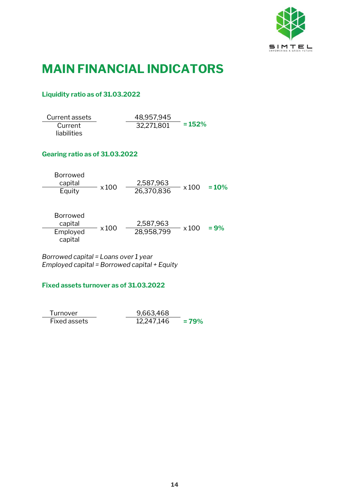

### <span id="page-13-0"></span>**MAIN FINANCIAL INDICATORS**

#### **Liquidity ratio as of 31.03.2022**

| Current assets | 48,957,945 |          |
|----------------|------------|----------|
| Current        | 32,271,801 | $= 152%$ |
| liabilities    |            |          |

#### **Gearing ratio as of 31.03.2022**

| Borrowed |              |            |       |         |
|----------|--------------|------------|-------|---------|
| capital  |              | 2,587,963  |       |         |
| Equity   | $\times$ 100 | 26,370,836 | x 100 | $= 10%$ |

| <b>Borrowed</b>     |              |            |              |         |
|---------------------|--------------|------------|--------------|---------|
| capital             |              | 2,587,963  |              |         |
| Employed<br>capital | $\times 100$ | 28,958,799 | $\times$ 100 | $= 9\%$ |

*Borrowed capital = Loans over 1 year Employed capital = Borrowed capital + Equity*

#### **Fixed assets turnover as of 31.03.2022**

| Turnover     | 9,663,468  |        |
|--------------|------------|--------|
| Fixed assets | 12,247,146 | $=79%$ |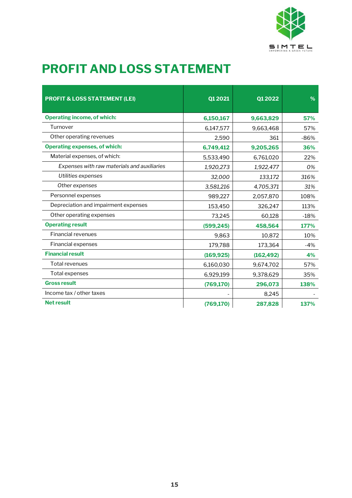

# <span id="page-14-0"></span>**PROFIT AND LOSS STATEMENT**

| <b>PROFIT &amp; LOSS STATEMENT (LEI)</b>    | Q1 2021    | Q1 2022    | $\%$   |
|---------------------------------------------|------------|------------|--------|
| <b>Operating income, of which:</b>          | 6,150,167  | 9,663,829  | 57%    |
| Turnover                                    | 6,147,577  | 9,663,468  | 57%    |
| Other operating revenues                    | 2,590      | 361        | $-86%$ |
| <b>Operating expenses, of which:</b>        | 6,749,412  | 9,205,265  | 36%    |
| Material expenses, of which:                | 5,533,490  | 6,761,020  | 22%    |
| Expenses with raw materials and auxiliaries | 1,920,273  | 1,922,477  | 0%     |
| Utilities expenses                          | 32,000     | 133,172    | 316%   |
| Other expenses                              | 3,581,216  | 4,705,371  | 31%    |
| Personnel expenses                          | 989,227    | 2,057,870  | 108%   |
| Depreciation and impairment expenses        | 153,450    | 326,247    | 113%   |
| Other operating expenses                    | 73,245     | 60,128     | $-18%$ |
| <b>Operating result</b>                     | (599, 245) | 458,564    | 177%   |
| <b>Financial revenues</b>                   | 9,863      | 10,872     | 10%    |
| <b>Financial expenses</b>                   | 179,788    | 173,364    | $-4%$  |
| <b>Financial result</b>                     | (169, 925) | (162, 492) | 4%     |
| Total revenues                              | 6,160,030  | 9,674,702  | 57%    |
| Total expenses                              | 6,929,199  | 9,378,629  | 35%    |
| <b>Gross result</b>                         | (769, 170) | 296,073    | 138%   |
| Income tax / other taxes                    |            | 8,245      |        |
| <b>Net result</b>                           | (769, 170) | 287,828    | 137%   |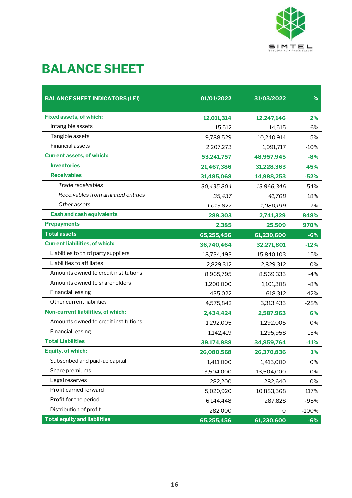

# <span id="page-15-0"></span>**BALANCE SHEET**

| <b>BALANCE SHEET INDICATORS (LEI)</b> | 01/01/2022 | 31/03/2022 | %         |
|---------------------------------------|------------|------------|-----------|
|                                       |            |            |           |
| <b>Fixed assets, of which:</b>        | 12,011,314 | 12,247,146 | 2%        |
| Intangible assets                     | 15,512     | 14,515     | $-6%$     |
| Tangible assets                       | 9,788,529  | 10,240,914 | 5%        |
| Financial assets                      | 2,207,273  | 1,991,717  | $-10%$    |
| <b>Current assets, of which:</b>      | 53,241,757 | 48,957,945 | $-8%$     |
| <b>Inventories</b>                    | 21,467,386 | 31,228,363 | 45%       |
| <b>Receivables</b>                    | 31,485,068 | 14,988,253 | $-52%$    |
| Trade receivables                     | 30,435,804 | 13,866,346 | $-54%$    |
| Receivables from affiliated entities  | 35,437     | 41,708     | 18%       |
| Other assets                          | 1,013,827  | 1,080,199  | 7%        |
| <b>Cash and cash equivalents</b>      | 289,303    | 2,741,329  | 848%      |
| <b>Prepayments</b>                    | 2,385      | 25,509     | 970%      |
| <b>Total assets</b>                   | 65,255,456 | 61,230,600 | $-6%$     |
| <b>Current liabilities, of which:</b> | 36,740,464 | 32,271,801 | $-12%$    |
| Liabilties to third party suppliers   | 18,734,493 | 15,840,103 | $-15%$    |
| Liabilities to affiliates             | 2,829,312  | 2,829,312  | 0%        |
| Amounts owned to credit institutions  | 8,965,795  | 8,569,333  | $-4%$     |
| Amounts owned to shareholders         | 1,200,000  | 1,101,308  | $-8%$     |
| <b>Financial leasing</b>              | 435,022    | 618,312    | 42%       |
| Other current liabilities             | 4,575,842  | 3,313,433  | $-28%$    |
| Non-current liabilities, of which:    | 2,434,424  | 2,587,963  | 6%        |
| Amounts owned to credit institutions  | 1,292,005  | 1,292,005  | 0%        |
| <b>Financial leasing</b>              | 1,142,419  | 1,295,958  | 13%       |
| <b>Total Liabilities</b>              | 39,174,888 | 34,859,764 | $-11%$    |
| <b>Equity, of which:</b>              | 26,080,568 | 26,370,836 | <b>1%</b> |
| Subscribed and paid-up capital        | 1,411,000  | 1,413,000  | 0%        |
| Share premiums                        | 13,504,000 | 13,504,000 | 0%        |
| Legal reserves                        | 282,200    | 282,640    | 0%        |
| Profit carried forward                | 5,020,920  | 10,883,368 | 117%      |
| Profit for the period                 | 6,144,448  | 287,828    | $-95%$    |
| Distribution of profit                | 282,000    | 0          | $-100%$   |
| <b>Total equity and liabilities</b>   | 65,255,456 | 61,230,600 | $-6%$     |